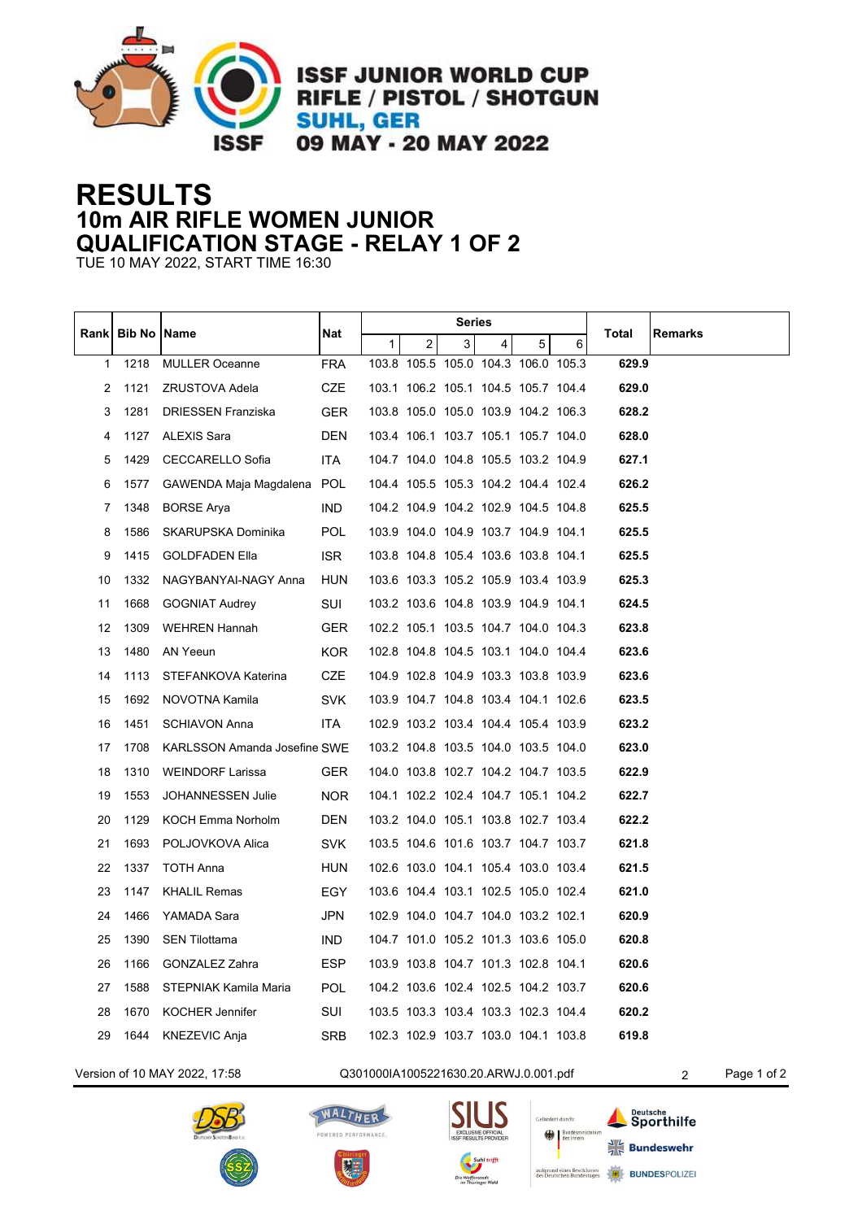

**ISSF JUNIOR WORLD CUP RIFLE / PISTOL / SHOTGUN SUHL, GER** 09 MAY - 20 MAY 2022

## **RESULTS 10m AIR RIFLE WOMEN JUNIOR QUALIFICATION STAGE - RELAY 1 OF 2**

TUE 10 MAY 2022, START TIME 16:30

|                                                                                            | <b>Bib No   Name</b> |                                     | Nat        | Series |                |   |                                     |   |   |       |         |
|--------------------------------------------------------------------------------------------|----------------------|-------------------------------------|------------|--------|----------------|---|-------------------------------------|---|---|-------|---------|
| Rankl                                                                                      |                      |                                     |            | 1      | 2 <sup>2</sup> | 3 | 4                                   | 5 | 6 | Total | Remarks |
| $\mathbf{1}$                                                                               | 1218                 | <b>MULLER Oceanne</b>               | <b>FRA</b> |        |                |   | 103.8 105.5 105.0 104.3 106.0 105.3 |   |   | 629.9 |         |
| 2                                                                                          | 1121                 | ZRUSTOVA Adela                      | CZE        |        |                |   | 103.1 106.2 105.1 104.5 105.7 104.4 |   |   | 629.0 |         |
| 3                                                                                          | 1281                 | <b>DRIESSEN Franziska</b>           | <b>GER</b> |        |                |   | 103.8 105.0 105.0 103.9 104.2 106.3 |   |   | 628.2 |         |
| 4                                                                                          | 1127                 | <b>ALEXIS Sara</b>                  | <b>DEN</b> |        |                |   | 103.4 106.1 103.7 105.1 105.7 104.0 |   |   | 628.0 |         |
| 5                                                                                          | 1429                 | <b>CECCARELLO Sofia</b>             | <b>ITA</b> |        |                |   | 104.7 104.0 104.8 105.5 103.2 104.9 |   |   | 627.1 |         |
| 6                                                                                          | 1577                 | GAWENDA Maja Magdalena              | <b>POL</b> |        |                |   | 104.4 105.5 105.3 104.2 104.4 102.4 |   |   | 626.2 |         |
| 7                                                                                          | 1348                 | <b>BORSE Arya</b>                   | IND.       |        |                |   | 104.2 104.9 104.2 102.9 104.5 104.8 |   |   | 625.5 |         |
| 8                                                                                          | 1586                 | SKARUPSKA Dominika                  | <b>POL</b> |        |                |   | 103.9 104.0 104.9 103.7 104.9 104.1 |   |   | 625.5 |         |
| 9                                                                                          | 1415                 | <b>GOLDFADEN Ella</b>               | <b>ISR</b> |        |                |   | 103.8 104.8 105.4 103.6 103.8 104.1 |   |   | 625.5 |         |
| 10                                                                                         | 1332                 | NAGYBANYAI-NAGY Anna                | <b>HUN</b> |        |                |   | 103.6 103.3 105.2 105.9 103.4 103.9 |   |   | 625.3 |         |
| 11                                                                                         | 1668                 | <b>GOGNIAT Audrey</b>               | SUI        |        |                |   | 103.2 103.6 104.8 103.9 104.9 104.1 |   |   | 624.5 |         |
| 12                                                                                         | 1309                 | <b>WEHREN Hannah</b>                | <b>GER</b> |        |                |   | 102.2 105.1 103.5 104.7 104.0 104.3 |   |   | 623.8 |         |
| 13                                                                                         | 1480                 | AN Yeeun                            | <b>KOR</b> |        |                |   | 102.8 104.8 104.5 103.1 104.0 104.4 |   |   | 623.6 |         |
| 14                                                                                         | 1113                 | STEFANKOVA Katerina                 | <b>CZE</b> |        |                |   | 104.9 102.8 104.9 103.3 103.8 103.9 |   |   | 623.6 |         |
| 15                                                                                         | 1692                 | NOVOTNA Kamila                      | <b>SVK</b> |        |                |   | 103.9 104.7 104.8 103.4 104.1 102.6 |   |   | 623.5 |         |
| 16                                                                                         | 1451                 | <b>SCHIAVON Anna</b>                | <b>ITA</b> |        |                |   | 102.9 103.2 103.4 104.4 105.4 103.9 |   |   | 623.2 |         |
| 17                                                                                         | 1708                 | <b>KARLSSON Amanda Josefine SWE</b> |            |        |                |   | 103.2 104.8 103.5 104.0 103.5 104.0 |   |   | 623.0 |         |
| 18                                                                                         | 1310                 | <b>WEINDORF Larissa</b>             | <b>GER</b> |        |                |   | 104.0 103.8 102.7 104.2 104.7 103.5 |   |   | 622.9 |         |
| 19                                                                                         | 1553                 | JOHANNESSEN Julie                   | <b>NOR</b> |        |                |   | 104.1 102.2 102.4 104.7 105.1 104.2 |   |   | 622.7 |         |
| 20                                                                                         | 1129                 | KOCH Emma Norholm                   | <b>DEN</b> |        |                |   | 103.2 104.0 105.1 103.8 102.7 103.4 |   |   | 622.2 |         |
| 21                                                                                         | 1693                 | POLJOVKOVA Alica                    | <b>SVK</b> |        |                |   | 103.5 104.6 101.6 103.7 104.7 103.7 |   |   | 621.8 |         |
| 22                                                                                         | 1337                 | TOTH Anna                           | <b>HUN</b> |        |                |   | 102.6 103.0 104.1 105.4 103.0 103.4 |   |   | 621.5 |         |
| 23                                                                                         | 1147                 | <b>KHALIL Remas</b>                 | EGY        |        |                |   | 103.6 104.4 103.1 102.5 105.0 102.4 |   |   | 621.0 |         |
| 24                                                                                         | 1466                 | YAMADA Sara                         | JPN        |        |                |   | 102.9 104.0 104.7 104.0 103.2 102.1 |   |   | 620.9 |         |
| 25                                                                                         | 1390                 | <b>SEN Tilottama</b>                | IND.       |        |                |   | 104.7 101.0 105.2 101.3 103.6 105.0 |   |   | 620.8 |         |
| 26                                                                                         | 1166                 | <b>GONZALEZ Zahra</b>               | <b>ESP</b> |        |                |   | 103.9 103.8 104.7 101.3 102.8 104.1 |   |   | 620.6 |         |
| 27                                                                                         | 1588                 | STEPNIAK Kamila Maria               | <b>POL</b> |        |                |   | 104.2 103.6 102.4 102.5 104.2 103.7 |   |   | 620.6 |         |
| 28                                                                                         | 1670                 | <b>KOCHER Jennifer</b>              | SUI        |        |                |   | 103.5 103.3 103.4 103.3 102.3 104.4 |   |   | 620.2 |         |
| 29                                                                                         | 1644                 | KNEZEVIC Anja                       | SRB        |        |                |   | 102.3 102.9 103.7 103.0 104.1 103.8 |   |   | 619.8 |         |
| Version of 10 MAY 2022, 17:58<br>Q301000IA1005221630.20.ARWJ.0.001.pdf<br>Page 1 of 2<br>2 |                      |                                     |            |        |                |   |                                     |   |   |       |         |









Deutsche<br>Sporthilfe  $\frac{1}{7}$  Bundeswehr **BUNDESPOLIZER**